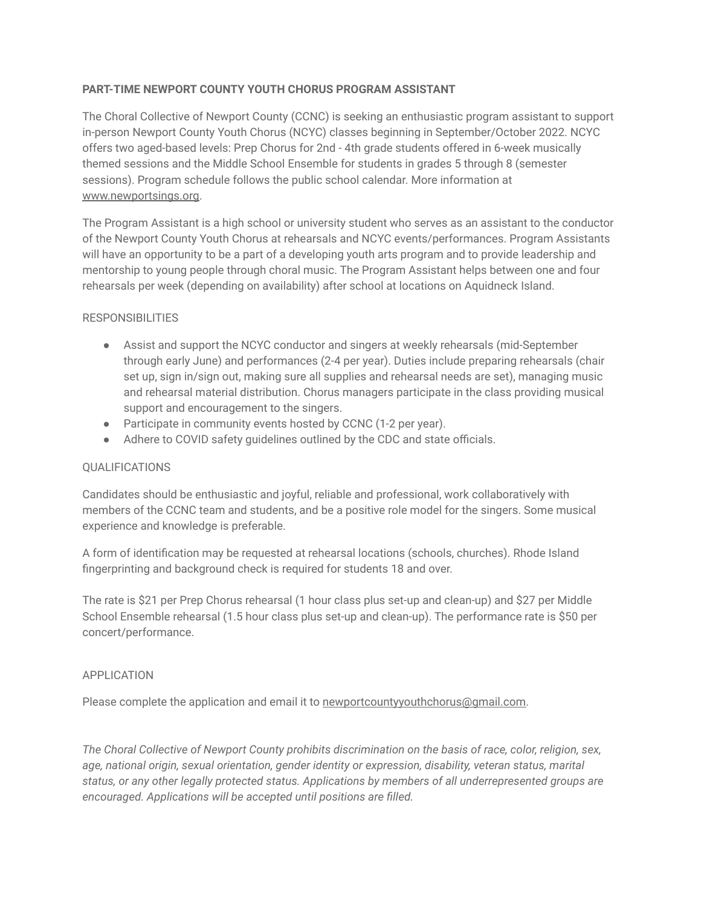## **PART-TIME NEWPORT COUNTY YOUTH CHORUS PROGRAM ASSISTANT**

The Choral Collective of Newport County (CCNC) is seeking an enthusiastic program assistant to support in-person Newport County Youth Chorus (NCYC) classes beginning in September/October 2022. NCYC offers two aged-based levels: Prep Chorus for 2nd - 4th grade students offered in 6-week musically themed sessions and the Middle School Ensemble for students in grades 5 through 8 (semester sessions). Program schedule follows the public school calendar. More information at [www.newportsings.org](http://www.newportsings.org).

The Program Assistant is a high school or university student who serves as an assistant to the conductor of the Newport County Youth Chorus at rehearsals and NCYC events/performances. Program Assistants will have an opportunity to be a part of a developing youth arts program and to provide leadership and mentorship to young people through choral music. The Program Assistant helps between one and four rehearsals per week (depending on availability) after school at locations on Aquidneck Island.

## RESPONSIBILITIES

- Assist and support the NCYC conductor and singers at weekly rehearsals (mid-September through early June) and performances (2-4 per year). Duties include preparing rehearsals (chair set up, sign in/sign out, making sure all supplies and rehearsal needs are set), managing music and rehearsal material distribution. Chorus managers participate in the class providing musical support and encouragement to the singers.
- Participate in community events hosted by CCNC (1-2 per year).
- Adhere to COVID safety guidelines outlined by the CDC and state officials.

## QUALIFICATIONS

Candidates should be enthusiastic and joyful, reliable and professional, work collaboratively with members of the CCNC team and students, and be a positive role model for the singers. Some musical experience and knowledge is preferable.

A form of identification may be requested at rehearsal locations (schools, churches). Rhode Island fingerprinting and background check is required for students 18 and over.

The rate is \$21 per Prep Chorus rehearsal (1 hour class plus set-up and clean-up) and \$27 per Middle School Ensemble rehearsal (1.5 hour class plus set-up and clean-up). The performance rate is \$50 per concert/performance.

## APPLICATION

Please complete the application and email it to [newportcountyyouthchorus@gmail.com.](mailto:newportcountyyouthchorus@gmail.com)

*The Choral Collective of Newport County prohibits discrimination on the basis of race, color, religion, sex, age, national origin, sexual orientation, gender identity or expression, disability, veteran status, marital status, or any other legally protected status. Applications by members of all underrepresented groups are encouraged. Applications will be accepted until positions are filled.*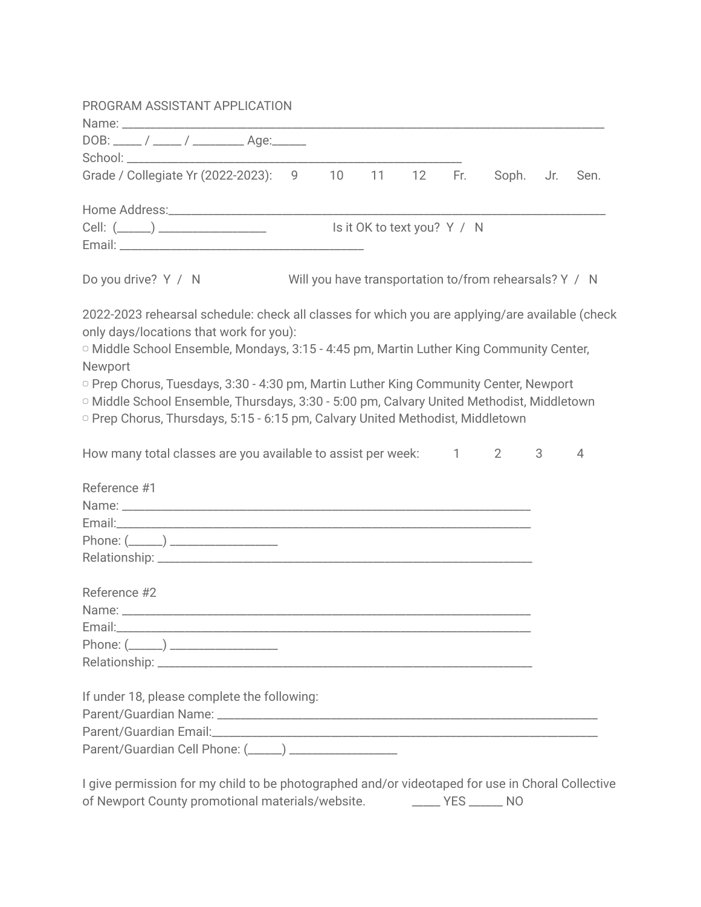| PROGRAM ASSISTANT APPLICATION                                                                        |  |    |                             |     |                                                        |                |   |
|------------------------------------------------------------------------------------------------------|--|----|-----------------------------|-----|--------------------------------------------------------|----------------|---|
|                                                                                                      |  |    |                             |     |                                                        |                |   |
| DOB: _____ / _____ / ____________ Age:______                                                         |  |    |                             |     |                                                        |                |   |
|                                                                                                      |  |    |                             |     |                                                        |                |   |
| Grade / Collegiate Yr (2022-2023): 9 10                                                              |  | 11 | 12                          | Fr. | Soph. Jr. Sen.                                         |                |   |
|                                                                                                      |  |    |                             |     |                                                        |                |   |
|                                                                                                      |  |    | Is it OK to text you? Y / N |     |                                                        |                |   |
| Do you drive? Y / N                                                                                  |  |    |                             |     | Will you have transportation to/from rehearsals? Y / N |                |   |
| 2022-2023 rehearsal schedule: check all classes for which you are applying/are available (check      |  |    |                             |     |                                                        |                |   |
| only days/locations that work for you):                                                              |  |    |                             |     |                                                        |                |   |
| <sup>o</sup> Middle School Ensemble, Mondays, 3:15 - 4:45 pm, Martin Luther King Community Center,   |  |    |                             |     |                                                        |                |   |
| Newport                                                                                              |  |    |                             |     |                                                        |                |   |
| <sup>o</sup> Prep Chorus, Tuesdays, 3:30 - 4:30 pm, Martin Luther King Community Center, Newport     |  |    |                             |     |                                                        |                |   |
| <sup>o</sup> Middle School Ensemble, Thursdays, 3:30 - 5:00 pm, Calvary United Methodist, Middletown |  |    |                             |     |                                                        |                |   |
| <sup>o</sup> Prep Chorus, Thursdays, 5:15 - 6:15 pm, Calvary United Methodist, Middletown            |  |    |                             |     |                                                        |                |   |
| How many total classes are you available to assist per week: 1 2                                     |  |    |                             |     |                                                        | 3 <sup>7</sup> | 4 |
| Reference #1                                                                                         |  |    |                             |     |                                                        |                |   |
|                                                                                                      |  |    |                             |     |                                                        |                |   |
|                                                                                                      |  |    |                             |     |                                                        |                |   |
|                                                                                                      |  |    |                             |     |                                                        |                |   |
|                                                                                                      |  |    |                             |     |                                                        |                |   |
| Reference #2                                                                                         |  |    |                             |     |                                                        |                |   |
|                                                                                                      |  |    |                             |     |                                                        |                |   |
|                                                                                                      |  |    |                             |     |                                                        |                |   |
| Phone: $(\_\_)$                                                                                      |  |    |                             |     |                                                        |                |   |
|                                                                                                      |  |    |                             |     |                                                        |                |   |
| If under 18, please complete the following:                                                          |  |    |                             |     |                                                        |                |   |
|                                                                                                      |  |    |                             |     |                                                        |                |   |
|                                                                                                      |  |    |                             |     |                                                        |                |   |
|                                                                                                      |  |    |                             |     |                                                        |                |   |
|                                                                                                      |  |    |                             |     |                                                        |                |   |
| Laive permission for my object to be photographed and/or videotaped for use in Cheral Collective     |  |    |                             |     |                                                        |                |   |

I give permission for my child to be photographed and/or videotaped for use in Choral Collective of Newport County promotional materials/website. \_\_\_\_\_\_\_ YES \_\_\_\_\_\_ NO